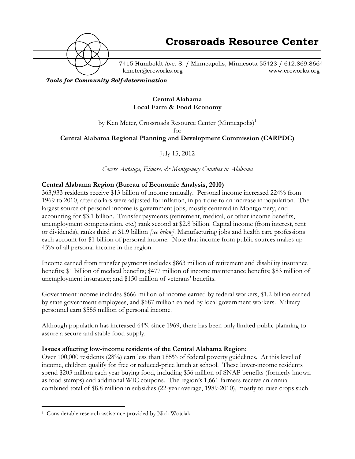

7415 Humboldt Ave. S. / Minneapolis, Minnesota 55423 / 612.869.8664 kmeter@crcworks.org www.crcworks.org

#### *Tools for Community Self-determination*

## **Central Alabama Local Farm & Food Economy**

# by Ken Meter, Crossroads Resource Center (Minneapolis)<sup>1</sup> for **Central Alabama Regional Planning and Development Commission (CARPDC)**

July 15, 2012

*Covers Autauga, Elmore, & Montgomery Counties in Alabama*

# **Central Alabama Region (Bureau of Economic Analysis, 2010)**

363,933 residents receive \$13 billion of income annually. Personal income increased 224% from 1969 to 2010, after dollars were adjusted for inflation, in part due to an increase in population. The largest source of personal income is government jobs, mostly centered in Montgomery, and accounting for \$3.1 billion. Transfer payments (retirement, medical, or other income benefits, unemployment compensation, etc.) rank second at \$2.8 billion. Capital income (from interest, rent or dividends), ranks third at \$1.9 billion *[see below]*. Manufacturing jobs and health care professions each account for \$1 billion of personal income. Note that income from public sources makes up 45% of all personal income in the region.

Income earned from transfer payments includes \$863 million of retirement and disability insurance benefits; \$1 billion of medical benefits; \$477 million of income maintenance benefits; \$83 million of unemployment insurance; and \$150 million of veterans' benefits.

Government income includes \$666 million of income earned by federal workers, \$1.2 billion earned by state government employees, and \$687 million earned by local government workers. Military personnel earn \$555 million of personal income.

Although population has increased 64% since 1969, there has been only limited public planning to assure a secure and stable food supply.

### **Issues affecting low-income residents of the Central Alabama Region:**

Over 100,000 residents (28%) earn less than 185% of federal poverty guidelines. At this level of income, children qualify for free or reduced-price lunch at school. These lower-income residents spend \$203 million each year buying food, including \$56 million of SNAP benefits (formerly known as food stamps) and additional WIC coupons. The region's 1,661 farmers receive an annual combined total of \$8.8 million in subsidies (22-year average, 1989-2010), mostly to raise crops such

 <sup>1</sup> Considerable research assistance provided by Nick Wojciak.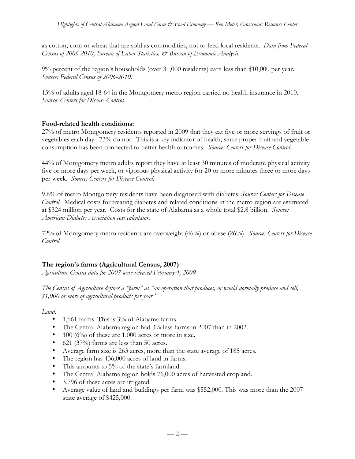as cotton, corn or wheat that are sold as commodities, not to feed local residents. *Data from Federal Census of 2006-2010, Bureau of Labor Statistics, & Bureau of Economic Analysis.*

9% percent of the region's households (over 31,000 residents) earn less than \$10,000 per year. *Source: Federal Census of 2006-2010.*

13% of adults aged 18-64 in the Montgomery metro region carried no health insurance in 2010. *Source: Centers for Disease Control.*

# **Food-related health conditions:**

27% of metro Montgomery residents reported in 2009 that they eat five or more servings of fruit or vegetables each day. 73% do not. This is a key indicator of health, since proper fruit and vegetable consumption has been connected to better health outcomes. *Source: Centers for Disease Control.*

44% of Montgomery metro adults report they have at least 30 minutes of moderate physical activity five or more days per week, or vigorous physical activity for 20 or more minutes three or more days per week. *Source: Centers for Disease Control.*

9.6% of metro Montgomery residents have been diagnosed with diabetes. *Source: Centers for Disease Control.* Medical costs for treating diabetes and related conditions in the metro region are estimated at \$324 million per year. Costs for the state of Alabama as a whole total \$2.8 billion. *Source: American Diabetes Association cost calculator.*

72% of Montgomery metro residents are overweight (46%) or obese (26%). *Source: Centers for Disease Control.*

# **The region's farms (Agricultural Census, 2007)**

*Agriculture Census data for 2007 were released February 4, 2009*

*The Census of Agriculture defines a "farm" as "an operation that produces, or would normally produce and sell, \$1,000 or more of agricultural products per year."*

*Land:*

- 1,661 farms. This is 3% of Alabama farms.
- The Central Alabama region had 3% less farms in 2007 than in 2002.
- 100 ( $6\%$ ) of these are 1,000 acres or more in size.
- 621 (37%) farms are less than 50 acres.
- Average farm size is 263 acres, more than the state average of 185 acres.
- The region has 436,000 acres of land in farms.
- This amounts to 5% of the state's farmland.
- The Central Alabama region holds 76,000 acres of harvested cropland.
- 3,796 of these acres are irrigated.
- Average value of land and buildings per farm was \$552,000. This was more than the 2007 state average of \$425,000.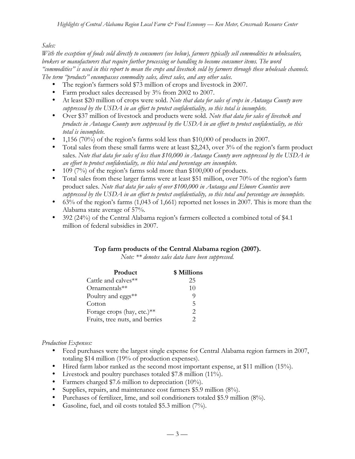### *Sales:*

*With the exception of foods sold directly to consumers (see below), farmers typically sell commodities to wholesalers, brokers or manufacturers that require further processing or handling to become consumer items. The word "commodities" is used in this report to mean the crops and livestock sold by farmers through these wholesale channels. The term "products" encompasses commodity sales, direct sales, and any other sales.*

- The region's farmers sold \$73 million of crops and livestock in 2007.
- Farm product sales decreased by 3% from 2002 to 2007.
- At least \$20 million of crops were sold. *Note that data for sales of crops in Autauga County were suppressed by the USDA in an effort to protect confidentiality, so this total is incomplete.*
- Over \$37 million of livestock and products were sold. *Note that data for sales of livestock and products in Autauga County were suppressed by the USDA in an effort to protect confidentiality, so this total is incomplete.*
- 1,156 (70%) of the region's farms sold less than \$10,000 of products in 2007.
- Total sales from these small farms were at least \$2,243, over 3% of the region's farm product sales. *Note that data for sales of less than \$10,000 in Autauga County were suppressed by the USDA in an effort to protect confidentiality, so this total and percentage are incomplete.*
- 109 (7%) of the region's farms sold more than \$100,000 of products.
- Total sales from these larger farms were at least \$51 million, over 70% of the region's farm product sales. *Note that data for sales of over \$100,000 in Autauga and Elmore Counties were suppressed by the USDA in an effort to protect confidentiality, so this total and percentage are incomplete.*
- 63% of the region's farms (1,043 of 1,661) reported net losses in 2007. This is more than the Alabama state average of 57%.
- 392 (24%) of the Central Alabama region's farmers collected a combined total of \$4.1 million of federal subsidies in 2007.

### **Top farm products of the Central Alabama region (2007).**

*Note: \*\* denotes sales data have been suppressed.*

| Product                        | \$ Millions           |
|--------------------------------|-----------------------|
| Cattle and calves**            | 25                    |
| Ornamentals**                  | 10                    |
| Poultry and eggs**             | O)                    |
| Cotton                         | $\overline{5}$        |
| Forage crops (hay, etc.)**     | $\mathcal{D}_{\cdot}$ |
| Fruits, tree nuts, and berries | っ                     |

### *Production Expenses:*

- Feed purchases were the largest single expense for Central Alabama region farmers in 2007, totaling \$14 million (19% of production expenses).
- Hired farm labor ranked as the second most important expense, at \$11 million (15%).
- Livestock and poultry purchases totaled \$7.8 million (11%).
- Farmers charged \$7.6 million to depreciation (10%).
- Supplies, repairs, and maintenance cost farmers \$5.9 million (8%).
- Purchases of fertilizer, lime, and soil conditioners totaled \$5.9 million (8%).
- Gasoline, fuel, and oil costs totaled \$5.3 million (7%).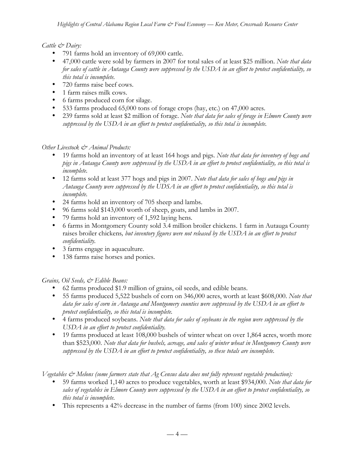## *Cattle & Dairy:*

- 791 farms hold an inventory of 69,000 cattle.
- 47,000 cattle were sold by farmers in 2007 for total sales of at least \$25 million. *Note that data for sales of cattle in Autauga County were suppressed by the USDA in an effort to protect confidentiality, so this total is incomplete.*
- 720 farms raise beef cows.
- 1 farm raises milk cows.
- 6 farms produced corn for silage.
- 533 farms produced 65,000 tons of forage crops (hay, etc.) on 47,000 acres.
- 239 farms sold at least \$2 million of forage. *Note that data for sales of forage in Elmore County were suppressed by the USDA in an effort to protect confidentiality, so this total is incomplete.*

## *Other Livestock & Animal Products:*

- 19 farms hold an inventory of at least 164 hogs and pigs. *Note that data for inventory of hogs and pigs in Autauga County were suppressed by the USDA in an effort to protect confidentiality, so this total is incomplete.*
- 12 farms sold at least 377 hogs and pigs in 2007. *Note that data for sales of hogs and pigs in Autauga County were suppressed by the UDSA in an effort to protect confidentiality, so this total is incomplete.*
- 24 farms hold an inventory of 705 sheep and lambs.
- 96 farms sold \$143,000 worth of sheep, goats, and lambs in 2007.
- 79 farms hold an inventory of 1,592 laying hens*.*
- 6 farms in Montgomery County sold 3.4 million broiler chickens. 1 farm in Autauga County raises broiler chickens*, but inventory figures were not released by the USDA in an effort to protect confidentiality.*
- 3 farms engage in aquaculture.
- 138 farms raise horses and ponies.

# *Grains, Oil Seeds, & Edible Beans:*

- 62 farms produced \$1.9 million of grains, oil seeds, and edible beans.
- 55 farms produced 5,522 bushels of corn on 346,000 acres, worth at least \$608,000. *Note that data for sales of corn in Autauga and Montgomery counties were suppressed by the USDA in an effort to protect confidentiality, so this total is incomplete.*
- 4 farms produced soybeans. *Note that data for sales of soybeans in the region were suppressed by the USDA in an effort to protect confidentiality.*
- 19 farms produced at least 108,000 bushels of winter wheat on over 1,864 acres, worth more than \$523,000. *Note that data for bushels, acreage, and sales of winter wheat in Montgomery County were suppressed by the USDA in an effort to protect confidentiality, so these totals are incomplete.*

*Vegetables & Melons (some farmers state that Ag Census data does not fully represent vegetable production):*

- 59 farms worked 1,140 acres to produce vegetables, worth at least \$934,000. *Note that data for sales of vegetables in Elmore County were suppressed by the USDA in an effort to protect confidentiality, so this total is incomplete.*
- This represents a 42% decrease in the number of farms (from 100) since 2002 levels.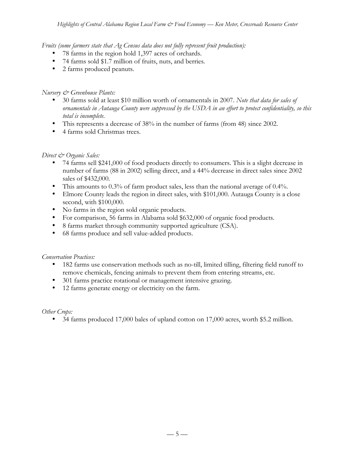*Fruits (some farmers state that Ag Census data does not fully represent fruit production):*

- 78 farms in the region hold 1,397 acres of orchards.
- 74 farms sold \$1.7 million of fruits, nuts, and berries*.*
- 2 farms produced peanuts.

## *Nursery & Greenhouse Plants:*

- 30 farms sold at least \$10 million worth of ornamentals in 2007. *Note that data for sales of ornamentals in Autauga County were suppressed by the USDA in an effort to protect confidentiality, so this total is incomplete.*
- This represents a decrease of 38% in the number of farms (from 48) since 2002.
- 4 farms sold Christmas trees.

## *Direct & Organic Sales:*

- 74 farms sell \$241,000 of food products directly to consumers. This is a slight decrease in number of farms (88 in 2002) selling direct, and a 44% decrease in direct sales since 2002 sales of \$432,000.
- This amounts to 0.3% of farm product sales, less than the national average of 0.4%.
- Elmore County leads the region in direct sales, with \$101,000. Autauga County is a close second, with \$100,000.
- No farms in the region sold organic products.
- For comparison, 56 farms in Alabama sold \$632,000 of organic food products.
- 8 farms market through community supported agriculture (CSA).
- 68 farms produce and sell value-added products.

### *Conservation Practices:*

- 182 farms use conservation methods such as no-till, limited tilling, filtering field runoff to remove chemicals, fencing animals to prevent them from entering streams, etc.
- 301 farms practice rotational or management intensive grazing.
- 12 farms generate energy or electricity on the farm.

*Other Crops:*

• 34 farms produced 17,000 bales of upland cotton on 17,000 acres, worth \$5.2 million.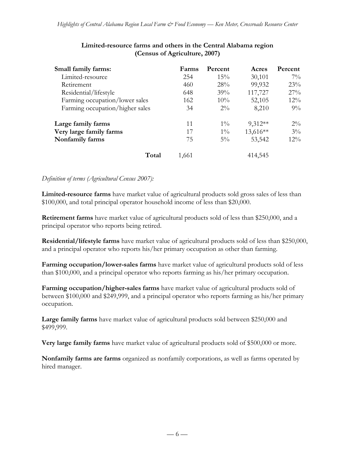| Small family farms:             | Farms | Percent | Acres     | Percent |
|---------------------------------|-------|---------|-----------|---------|
| Limited-resource                | 254   | 15%     | 30,101    | $7\%$   |
| Retirement                      | 460   | 28%     | 99,932    | 23%     |
| Residential/lifestyle           | 648   | 39%     | 117,727   | $27\%$  |
| Farming occupation/lower sales  | 162   | 10%     | 52,105    | $12\%$  |
| Farming occupation/higher sales | 34    | $2\%$   | 8,210     | $9\%$   |
| Large family farms              | 11    | $1\%$   | $9,312**$ | $2\%$   |
| Very large family farms         | 17    | $1\%$   | 13,616**  | $3\%$   |
| Nonfamily farms                 | 75    | $5\%$   | 53,542    | $12\%$  |
| Total                           | 1,661 |         | 414,545   |         |

## **Limited-resource farms and others in the Central Alabama region (Census of Agriculture, 2007)**

### *Definition of terms (Agricultural Census 2007):*

**Limited-resource farms** have market value of agricultural products sold gross sales of less than \$100,000, and total principal operator household income of less than \$20,000.

**Retirement farms** have market value of agricultural products sold of less than \$250,000, and a principal operator who reports being retired.

**Residential/lifestyle farms** have market value of agricultural products sold of less than \$250,000, and a principal operator who reports his/her primary occupation as other than farming.

**Farming occupation/lower-sales farms** have market value of agricultural products sold of less than \$100,000, and a principal operator who reports farming as his/her primary occupation.

**Farming occupation/higher-sales farms** have market value of agricultural products sold of between \$100,000 and \$249,999, and a principal operator who reports farming as his/her primary occupation.

**Large family farms** have market value of agricultural products sold between \$250,000 and \$499,999.

**Very large family farms** have market value of agricultural products sold of \$500,000 or more.

**Nonfamily farms are farms** organized as nonfamily corporations, as well as farms operated by hired manager.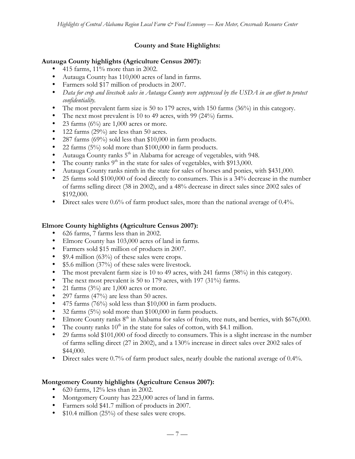# **County and State Highlights:**

## **Autauga County highlights (Agriculture Census 2007):**

- 415 farms,  $11\%$  more than in 2002.
- Autauga County has 110,000 acres of land in farms.
- Farmers sold \$17 million of products in 2007.
- *Data for crop and livestock sales in Autauga County were suppressed by the USDA in an effort to protect confidentiality.*
- The most prevalent farm size is 50 to 179 acres, with 150 farms (36%) in this category.
- The next most prevalent is 10 to 49 acres, with 99 (24%) farms.
- 23 farms  $(6\%)$  are 1,000 acres or more.
- 122 farms (29%) are less than 50 acres.
- 287 farms (69%) sold less than \$10,000 in farm products.
- 22 farms (5%) sold more than \$100,000 in farm products.
- Autauga County ranks  $5<sup>th</sup>$  in Alabama for acreage of vegetables, with 948.
- The county ranks  $9<sup>th</sup>$  in the state for sales of vegetables, with \$913,000.
- Autauga County ranks ninth in the state for sales of horses and ponies, with \$431,000.
- 25 farms sold \$100,000 of food directly to consumers. This is a 34% decrease in the number of farms selling direct (38 in 2002), and a 48% decrease in direct sales since 2002 sales of \$192,000.
- Direct sales were 0.6% of farm product sales, more than the national average of 0.4%.

## **Elmore County highlights (Agriculture Census 2007):**

- 626 farms, 7 farms less than in 2002.
- Elmore County has 103,000 acres of land in farms.
- Farmers sold \$15 million of products in 2007.
- \$9.4 million (63%) of these sales were crops.
- \$5.6 million (37%) of these sales were livestock.
- The most prevalent farm size is 10 to 49 acres, with 241 farms (38%) in this category.
- The next most prevalent is 50 to 179 acres, with 197 (31%) farms.
- 21 farms  $(3%)$  are 1,000 acres or more.
- 297 farms (47%) are less than 50 acres.
- 475 farms (76%) sold less than \$10,000 in farm products.
- 32 farms (5%) sold more than \$100,000 in farm products.
- Elmore County ranks  $8<sup>th</sup>$  in Alabama for sales of fruits, tree nuts, and berries, with \$676,000.
- The county ranks  $10<sup>th</sup>$  in the state for sales of cotton, with \$4.1 million.
- 29 farms sold \$101,000 of food directly to consumers. This is a slight increase in the number of farms selling direct (27 in 2002), and a 130% increase in direct sales over 2002 sales of \$44,000.
- Direct sales were 0.7% of farm product sales, nearly double the national average of 0.4%.

### **Montgomery County highlights (Agriculture Census 2007):**

- 620 farms,  $12\%$  less than in 2002.
- Montgomery County has 223,000 acres of land in farms.
- Farmers sold \$41.7 million of products in 2007.
- \$10.4 million (25%) of these sales were crops.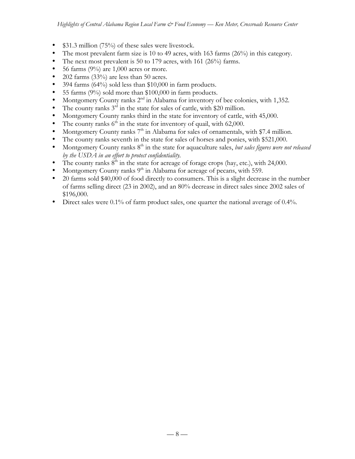- \$31.3 million (75%) of these sales were livestock.
- The most prevalent farm size is 10 to 49 acres, with 163 farms (26%) in this category.
- The next most prevalent is 50 to 179 acres, with 161 (26%) farms.
- 56 farms  $(9\%)$  are 1,000 acres or more.
- $202$  farms  $(33%)$  are less than 50 acres.
- 394 farms (64%) sold less than \$10,000 in farm products.
- 55 farms (9%) sold more than \$100,000 in farm products.
- Montgomery County ranks 2<sup>nd</sup> in Alabama for inventory of bee colonies, with 1,352.
- The county ranks  $3<sup>rd</sup>$  in the state for sales of cattle, with \$20 million.
- Montgomery County ranks third in the state for inventory of cattle, with 45,000.
- The county ranks  $6<sup>th</sup>$  in the state for inventory of quail, with 62,000.
- Montgomery County ranks  $7<sup>th</sup>$  in Alabama for sales of ornamentals, with \$7.4 million.
- The county ranks seventh in the state for sales of horses and ponies, with \$521,000.
- Montgomery County ranks 8<sup>th</sup> in the state for aquaculture sales, *but sales figures were not released by the USDA in an effort to protect confidentiality.*
- The county ranks  $8<sup>th</sup>$  in the state for acreage of forage crops (hay, etc.), with 24,000.
- Montgomery County ranks  $9<sup>th</sup>$  in Alabama for acreage of pecans, with 559.
- 20 farms sold \$40,000 of food directly to consumers. This is a slight decrease in the number of farms selling direct (23 in 2002), and an 80% decrease in direct sales since 2002 sales of \$196,000.
- Direct sales were 0.1% of farm product sales, one quarter the national average of 0.4%.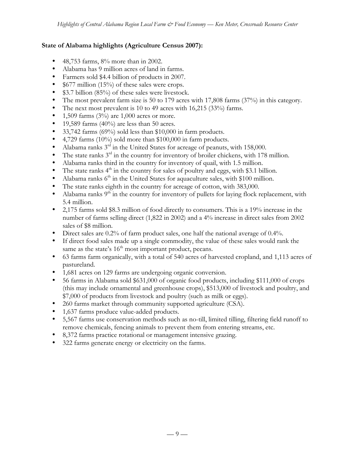## **State of Alabama highlights (Agriculture Census 2007):**

- 48,753 farms, 8% more than in 2002.
- Alabama has 9 million acres of land in farms.
- Farmers sold \$4.4 billion of products in 2007.
- \$677 million (15%) of these sales were crops.
- \$3.7 billion (85%) of these sales were livestock.
- The most prevalent farm size is 50 to 179 acres with 17,808 farms (37%) in this category.
- The next most prevalent is 10 to 49 acres with 16,215 (33%) farms.
- 1,509 farms  $(3\%)$  are 1,000 acres or more.
- 19,589 farms  $(40\%)$  are less than 50 acres.
- 33,742 farms (69%) sold less than \$10,000 in farm products.
- 4,729 farms (10%) sold more than \$100,000 in farm products.
- Alabama ranks 3<sup>rd</sup> in the United States for acreage of peanuts, with 158,000.
- The state ranks  $3<sup>rd</sup>$  in the country for inventory of broiler chickens, with 178 million.
- Alabama ranks third in the country for inventory of quail, with 1.5 million.
- The state ranks  $4<sup>th</sup>$  in the country for sales of poultry and eggs, with \$3.1 billion.
- Alabama ranks  $6<sup>th</sup>$  in the United States for aquaculture sales, with \$100 million.
- The state ranks eighth in the country for acreage of cotton, with 383,000.
- Alabama ranks  $9<sup>th</sup>$  in the country for inventory of pullets for laying flock replacement, with 5.4 million.
- 2,175 farms sold \$8.3 million of food directly to consumers. This is a 19% increase in the number of farms selling direct (1,822 in 2002) and a 4% increase in direct sales from 2002 sales of \$8 million.
- Direct sales are 0.2% of farm product sales, one half the national average of 0.4%.
- If direct food sales made up a single commodity, the value of these sales would rank the same as the state's  $16<sup>th</sup>$  most important product, pecans.
- 63 farms farm organically, with a total of 540 acres of harvested cropland, and 1,113 acres of pastureland.
- 1,681 acres on 129 farms are undergoing organic conversion.
- 56 farms in Alabama sold \$631,000 of organic food products, including \$111,000 of crops (this may include ornamental and greenhouse crops), \$513,000 of livestock and poultry, and \$7,000 of products from livestock and poultry (such as milk or eggs).
- 260 farms market through community supported agriculture (CSA).
- 1,637 farms produce value-added products.
- 5,567 farms use conservation methods such as no-till, limited tilling, filtering field runoff to remove chemicals, fencing animals to prevent them from entering streams, etc.
- 8,372 farms practice rotational or management intensive grazing.
- 322 farms generate energy or electricity on the farms.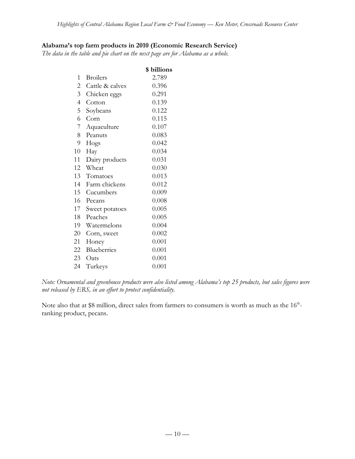# **Alabama's top farm products in 2010 (Economic Research Service)**

*The data in the table and pie chart on the next page are for Alabama as a whole.*

| 2.789<br>0.396<br>0.291 |
|-------------------------|
|                         |
|                         |
|                         |
| 0.139                   |
| 0.122                   |
| 0.115                   |
| 0.107                   |
| 0.083                   |
| 0.042                   |
| 0.034                   |
| 0.031                   |
| 0.030                   |
| 0.013                   |
| 0.012                   |
| 0.009                   |
| 0.008                   |
| 0.005                   |
| 0.005                   |
| 0.004                   |
| 0.002                   |
| 0.001                   |
| 0.001                   |
| 0.001                   |
| 0.001                   |
|                         |

*Note: Ornamental and greenhouse products were also listed among Alabama's top 25 products, but sales figures were not released by ERS, in an effort to protect confidentiality.*

Note also that at \$8 million, direct sales from farmers to consumers is worth as much as the 16<sup>th</sup>ranking product, pecans.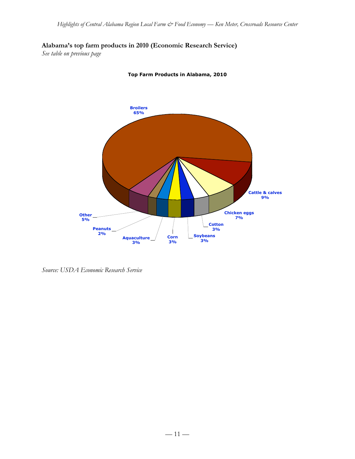**Alabama's top farm products in 2010 (Economic Research Service)**

*See table on previous page*



**Top Farm Products in Alabama, 2010**

*Source: USDA Economic Research Service*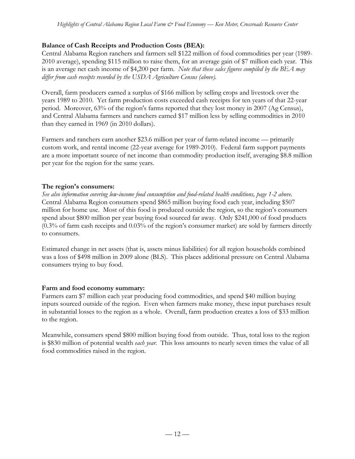# **Balance of Cash Receipts and Production Costs (BEA):**

Central Alabama Region ranchers and farmers sell \$122 million of food commodities per year (1989- 2010 average), spending \$115 million to raise them, for an average gain of \$7 million each year. This is an average net cash income of \$4,200 per farm. *Note that these sales figures compiled by the BEA may differ from cash receipts recorded by the USDA Agriculture Census (above).*

Overall, farm producers earned a surplus of \$166 million by selling crops and livestock over the years 1989 to 2010. Yet farm production costs exceeded cash receipts for ten years of that 22-year period. Moreover, 63% of the region's farms reported that they lost money in 2007 (Ag Census), and Central Alabama farmers and ranchers earned \$17 million less by selling commodities in 2010 than they earned in 1969 (in 2010 dollars).

Farmers and ranchers earn another \$23.6 million per year of farm-related income — primarily custom work, and rental income (22-year average for 1989-2010). Federal farm support payments are a more important source of net income than commodity production itself, averaging \$8.8 million per year for the region for the same years.

# **The region's consumers:**

*See also information covering low-income food consumption and food-related health conditions, page 1-2 above.* Central Alabama Region consumers spend \$865 million buying food each year, including \$507 million for home use. Most of this food is produced outside the region, so the region's consumers spend about \$800 million per year buying food sourced far away. Only \$241,000 of food products (0.3% of farm cash receipts and 0.03% of the region's consumer market) are sold by farmers directly to consumers.

Estimated change in net assets (that is, assets minus liabilities) for all region households combined was a loss of \$498 million in 2009 alone (BLS). This places additional pressure on Central Alabama consumers trying to buy food.

# **Farm and food economy summary:**

Farmers earn \$7 million each year producing food commodities, and spend \$40 million buying inputs sourced outside of the region. Even when farmers make money, these input purchases result in substantial losses to the region as a whole. Overall, farm production creates a loss of \$33 million to the region.

Meanwhile, consumers spend \$800 million buying food from outside. Thus, total loss to the region is \$830 million of potential wealth *each year*. This loss amounts to nearly seven times the value of all food commodities raised in the region.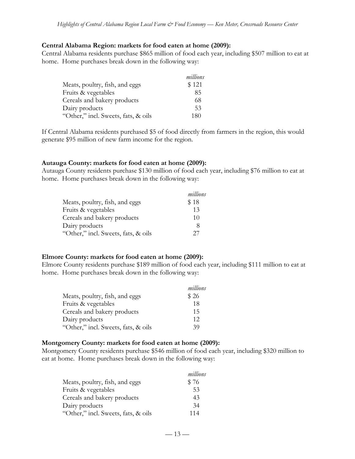#### **Central Alabama Region: markets for food eaten at home (2009):**

Central Alabama residents purchase \$865 million of food each year, including \$507 million to eat at home. Home purchases break down in the following way:

|                                     | millions |
|-------------------------------------|----------|
| Meats, poultry, fish, and eggs      | \$121    |
| Fruits & vegetables                 | 85       |
| Cereals and bakery products         | 68       |
| Dairy products                      | .53      |
| "Other," incl. Sweets, fats, & oils | 180      |

If Central Alabama residents purchased \$5 of food directly from farmers in the region, this would generate \$95 million of new farm income for the region.

#### **Autauga County: markets for food eaten at home (2009):**

Autauga County residents purchase \$130 million of food each year, including \$76 million to eat at home. Home purchases break down in the following way:

|                                     | millions |
|-------------------------------------|----------|
| Meats, poultry, fish, and eggs      | \$18     |
| Fruits & vegetables                 | 13       |
| Cereals and bakery products         | 10       |
| Dairy products                      | 8        |
| "Other," incl. Sweets, fats, & oils | 27       |

### **Elmore County: markets for food eaten at home (2009):**

Elmore County residents purchase \$189 million of food each year, including \$111 million to eat at home. Home purchases break down in the following way:

|                                     | millions |
|-------------------------------------|----------|
| Meats, poultry, fish, and eggs      | \$26     |
| Fruits & vegetables                 | 18       |
| Cereals and bakery products         | 15       |
| Dairy products                      | 12       |
| "Other," incl. Sweets, fats, & oils | 39       |

### **Montgomery County: markets for food eaten at home (2009):**

Montgomery County residents purchase \$546 million of food each year, including \$320 million to eat at home. Home purchases break down in the following way:

|                                     | millions |
|-------------------------------------|----------|
| Meats, poultry, fish, and eggs      | \$76     |
| Fruits & vegetables                 | 53       |
| Cereals and bakery products         | 43       |
| Dairy products                      | 34       |
| "Other," incl. Sweets, fats, & oils | 114      |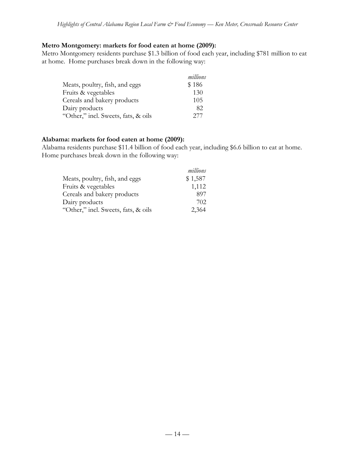#### **Metro Montgomery: markets for food eaten at home (2009):**

Metro Montgomery residents purchase \$1.3 billion of food each year, including \$781 million to eat at home. Home purchases break down in the following way:

|                                     | millions |
|-------------------------------------|----------|
| Meats, poultry, fish, and eggs      | \$186    |
| Fruits & vegetables                 | 130      |
| Cereals and bakery products         | 105      |
| Dairy products                      | 82       |
| "Other," incl. Sweets, fats, & oils | 277      |

#### **Alabama: markets for food eaten at home (2009):**

Alabama residents purchase \$11.4 billion of food each year, including \$6.6 billion to eat at home. Home purchases break down in the following way:

|                                     | millions |
|-------------------------------------|----------|
| Meats, poultry, fish, and eggs      | \$1,587  |
| Fruits & vegetables                 | 1,112    |
| Cereals and bakery products         | 897      |
| Dairy products                      | 702      |
| "Other," incl. Sweets, fats, & oils | 2,364    |